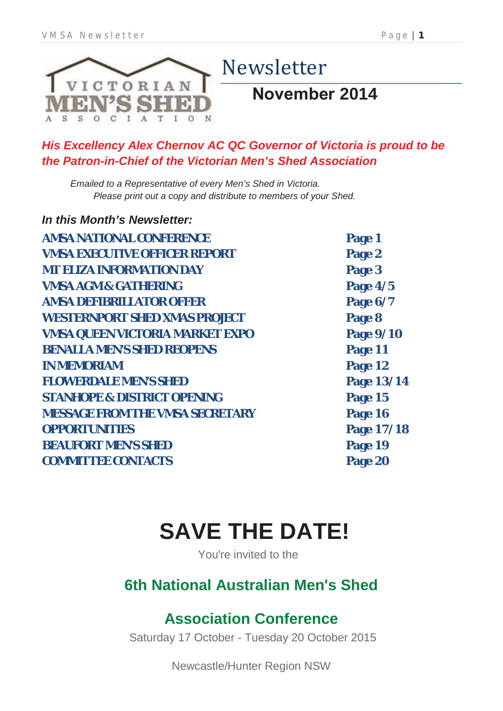

### *His Excellency Alex Chernov AC QC Governor of Victoria is proud to be the Patron-in-Chief of the Victorian Men's Shed Association*

*Emailed to a Representative of every Men's Shed in Victoria. Please print out a copy and distribute to members of your Shed.*

| In this Month's Newsletter:            |            |
|----------------------------------------|------------|
| <b>AMSA NATIONAL CONFERENCE</b>        | Page 1     |
| <b>VMSA EXECUTIVE OFFICER REPORT</b>   | Page 2     |
| <b>MT ELIZA INFORMATION DAY</b>        | Page 3     |
| <b>VMSA AGM &amp; GATHERING</b>        | Page 4/5   |
| <b>AMSA DEFIBRILLATOR OFFER</b>        | Page 6/7   |
| <b>WESTERNPORT SHED XMAS PROJECT</b>   | Page 8     |
| <b>VMSA QUEEN VICTORIA MARKET EXPO</b> | Page 9/10  |
| <b>BENALLA MEN'S SHED REOPENS</b>      | Page 11    |
| <b>IN MEMORIAM</b>                     | Page 12    |
| <b>FLOWERDALE MEN'S SHED</b>           | Page 13/14 |
| <b>STANHOPE &amp; DISTRICT OPENING</b> | Page 15    |
| <b>MESSAGE FROM THE VMSA SECRETARY</b> | Page 16    |
| <b>OPPORTUNITIES</b>                   | Page 17/18 |
| <b>BEAUFORT MEN'S SHED</b>             | Page 19    |
| <b>COMMITTEE CONTACTS</b>              | Page 20    |

# **SAVE THE DATE!**

You're invited to the

## **6th National Australian Men's Shed**

# **Association Conference**

Saturday 17 October - Tuesday 20 October 2015

Newcastle/Hunter Region NSW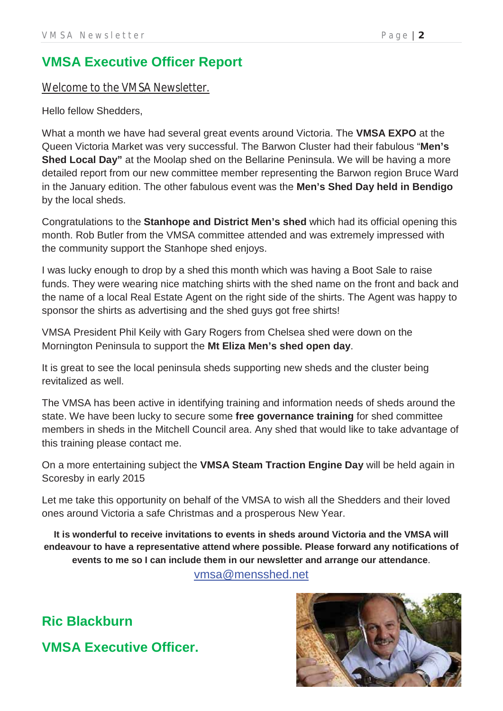### **VMSA Executive Officer Report**

### Welcome to the VMSA Newsletter.

Hello fellow Shedders,

What a month we have had several great events around Victoria. The **VMSA EXPO** at the Queen Victoria Market was very successful. The Barwon Cluster had their fabulous "**Men's Shed Local Day"** at the Moolap shed on the Bellarine Peninsula. We will be having a more detailed report from our new committee member representing the Barwon region Bruce Ward in the January edition. The other fabulous event was the **Men's Shed Day held in Bendigo** by the local sheds.

Congratulations to the **Stanhope and District Men's shed** which had its official opening this month. Rob Butler from the VMSA committee attended and was extremely impressed with the community support the Stanhope shed enjoys.

I was lucky enough to drop by a shed this month which was having a Boot Sale to raise funds. They were wearing nice matching shirts with the shed name on the front and back and the name of a local Real Estate Agent on the right side of the shirts. The Agent was happy to sponsor the shirts as advertising and the shed guys got free shirts!

VMSA President Phil Keily with Gary Rogers from Chelsea shed were down on the Mornington Peninsula to support the **Mt Eliza Men's shed open day**.

It is great to see the local peninsula sheds supporting new sheds and the cluster being revitalized as well.

The VMSA has been active in identifying training and information needs of sheds around the state. We have been lucky to secure some **free governance training** for shed committee members in sheds in the Mitchell Council area. Any shed that would like to take advantage of this training please contact me.

On a more entertaining subject the **VMSA Steam Traction Engine Day** will be held again in Scoresby in early 2015

Let me take this opportunity on behalf of the VMSA to wish all the Shedders and their loved ones around Victoria a safe Christmas and a prosperous New Year.

**It is wonderful to receive invitations to events in sheds around Victoria and the VMSA will endeavour to have a representative attend where possible. Please forward any notifications of events to me so I can include them in our newsletter and arrange our attendance**. vmsa@mensshed.net

**Ric Blackburn VMSA Executive Officer.**

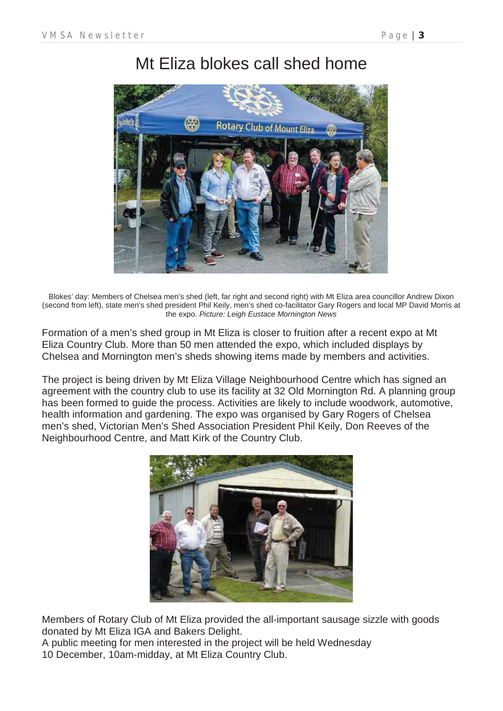# Mt Eliza blokes call shed home



Blokes' day: Members of Chelsea men's shed (left, far right and second right) with Mt Eliza area councillor Andrew Dixon (second from left), state men's shed president Phil Keily, men's shed co-facilitator Gary Rogers and local MP David Morris at the expo. *Picture: Leigh Eustace Mornington News*

Formation of a men's shed group in Mt Eliza is closer to fruition after a recent expo at Mt Eliza Country Club. More than 50 men attended the expo, which included displays by Chelsea and Mornington men's sheds showing items made by members and activities.

The project is being driven by Mt Eliza Village Neighbourhood Centre which has signed an agreement with the country club to use its facility at 32 Old Mornington Rd. A planning group has been formed to guide the process. Activities are likely to include woodwork, automotive, health information and gardening. The expo was organised by Gary Rogers of Chelsea men's shed, Victorian Men's Shed Association President Phil Keily, Don Reeves of the Neighbourhood Centre, and Matt Kirk of the Country Club.



Members of Rotary Club of Mt Eliza provided the all-important sausage sizzle with goods donated by Mt Eliza IGA and Bakers Delight.

A public meeting for men interested in the project will be held Wednesday 10 December, 10am-midday, at Mt Eliza Country Club.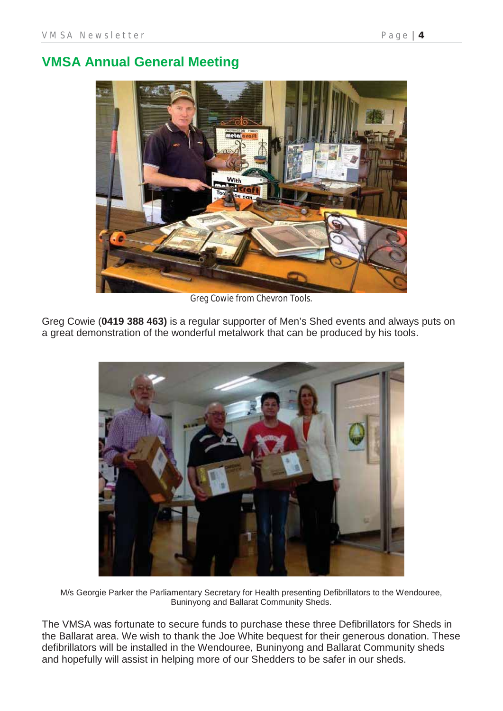### **VMSA Annual General Meeting**



Greg Cowie from Chevron Tools.

Greg Cowie (**0419 388 463)** is a regular supporter of Men's Shed events and always puts on a great demonstration of the wonderful metalwork that can be produced by his tools.



M/s Georgie Parker the Parliamentary Secretary for Health presenting Defibrillators to the Wendouree, Buninyong and Ballarat Community Sheds.

The VMSA was fortunate to secure funds to purchase these three Defibrillators for Sheds in the Ballarat area. We wish to thank the Joe White bequest for their generous donation. These defibrillators will be installed in the Wendouree, Buninyong and Ballarat Community sheds and hopefully will assist in helping more of our Shedders to be safer in our sheds.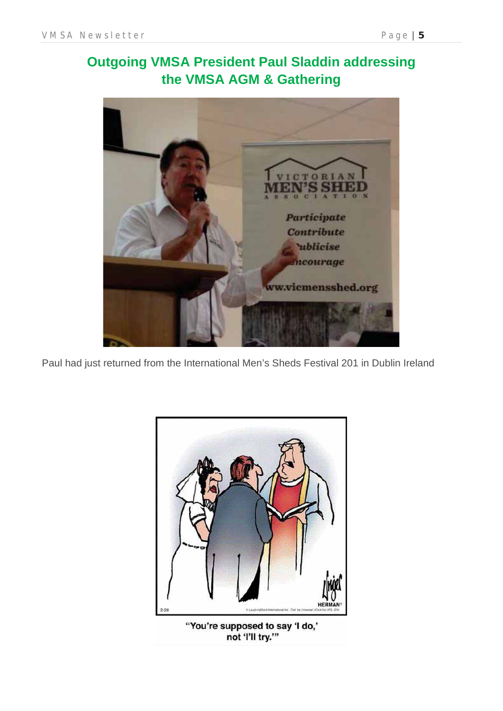

Paul had just returned from the International Men's Sheds Festival 201 in Dublin Ireland



not 'I'll try.'"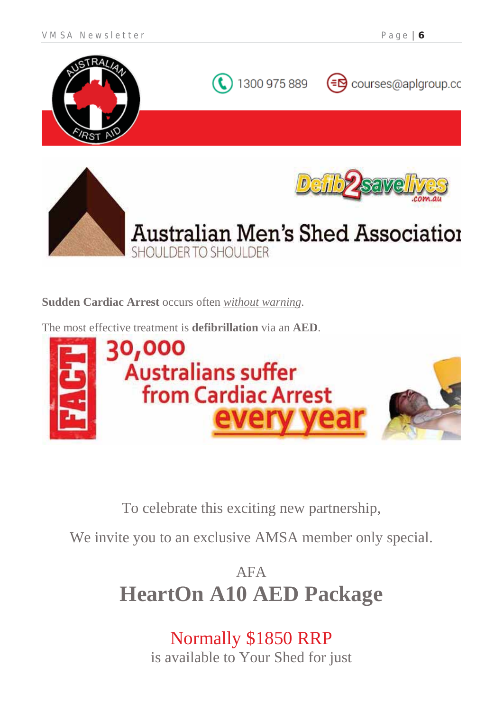



**Sudden Cardiac Arrest** occurs often *without warning*.

The most effective treatment is **defibrillation** via an **AED**.



To celebrate this exciting new partnership,

We invite you to an exclusive AMSA member only special.

AFA **HeartOn A10 AED Package**

> Normally \$1850 RRP is available to Your Shed for just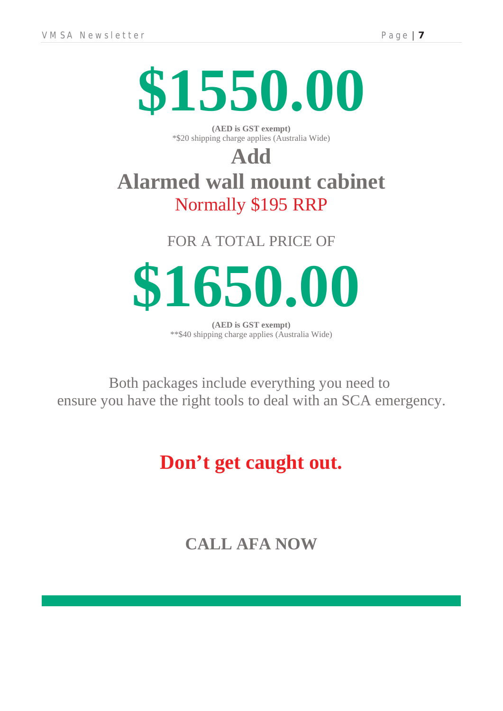

**(AED is GST exempt)** \*\$20 shipping charge applies (Australia Wide)

# **Add Alarmed wall mount cabinet** Normally \$195 RRP

FOR A TOTAL PRICE OF

**\$1650.00**

**(AED is GST exempt)** \*\*\$40 shipping charge applies (Australia Wide)

Both packages include everything you need to ensure you have the right tools to deal with an SCA emergency.

# **Don't get caught out.**

**CALL AFA NOW**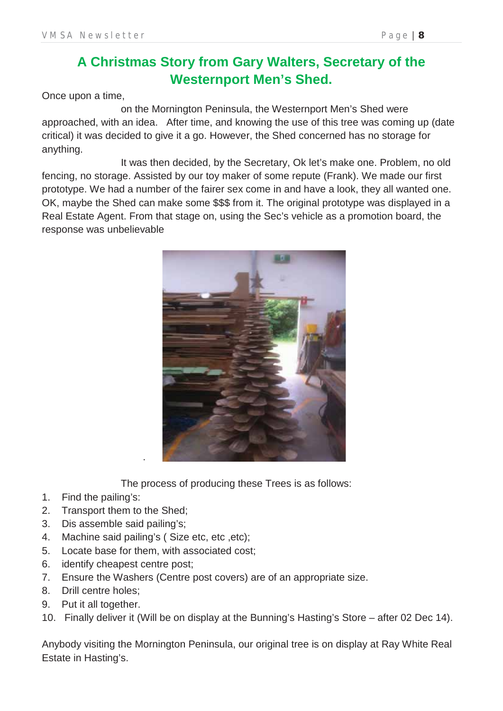### **A Christmas Story from Gary Walters, Secretary of the Westernport Men's Shed.**

Once upon a time,

 on the Mornington Peninsula, the Westernport Men's Shed were approached, with an idea. After time, and knowing the use of this tree was coming up (date critical) it was decided to give it a go. However, the Shed concerned has no storage for anything.

 It was then decided, by the Secretary, Ok let's make one. Problem, no old fencing, no storage. Assisted by our toy maker of some repute (Frank). We made our first prototype. We had a number of the fairer sex come in and have a look, they all wanted one. OK, maybe the Shed can make some \$\$\$ from it. The original prototype was displayed in a Real Estate Agent. From that stage on, using the Sec's vehicle as a promotion board, the response was unbelievable



The process of producing these Trees is as follows:

- 1. Find the pailing's:
- 2. Transport them to the Shed;
- 3. Dis assemble said pailing's;
- 4. Machine said pailing's ( Size etc, etc ,etc);

.

- 5. Locate base for them, with associated cost;
- 6. identify cheapest centre post;
- 7. Ensure the Washers (Centre post covers) are of an appropriate size.
- 8. Drill centre holes;
- 9. Put it all together.
- 10. Finally deliver it (Will be on display at the Bunning's Hasting's Store after 02 Dec 14).

Anybody visiting the Mornington Peninsula, our original tree is on display at Ray White Real Estate in Hasting's.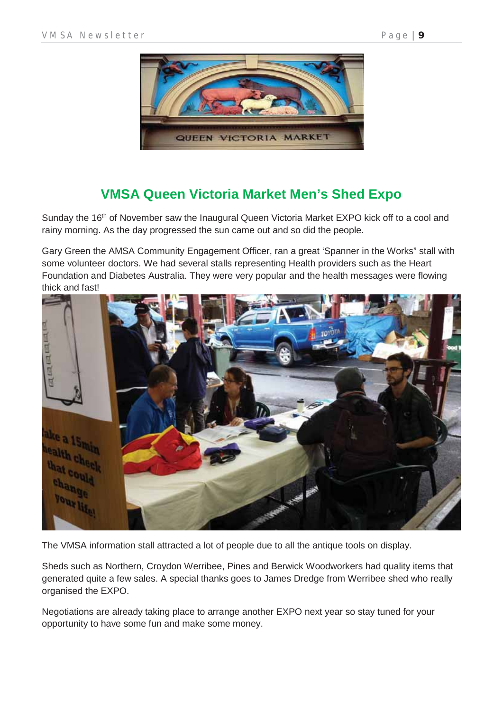

### **VMSA Queen Victoria Market Men's Shed Expo**

Sunday the 16<sup>th</sup> of November saw the Inaugural Queen Victoria Market EXPO kick off to a cool and rainy morning. As the day progressed the sun came out and so did the people.

Gary Green the AMSA Community Engagement Officer, ran a great 'Spanner in the Works" stall with some volunteer doctors. We had several stalls representing Health providers such as the Heart Foundation and Diabetes Australia. They were very popular and the health messages were flowing thick and fast!



The VMSA information stall attracted a lot of people due to all the antique tools on display.

Sheds such as Northern, Croydon Werribee, Pines and Berwick Woodworkers had quality items that generated quite a few sales. A special thanks goes to James Dredge from Werribee shed who really organised the EXPO.

Negotiations are already taking place to arrange another EXPO next year so stay tuned for your opportunity to have some fun and make some money.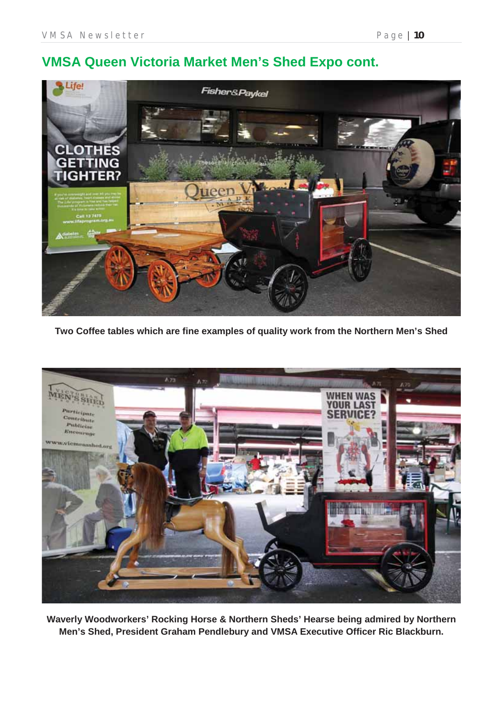### **VMSA Queen Victoria Market Men's Shed Expo cont.**



**Two Coffee tables which are fine examples of quality work from the Northern Men's Shed**



**Waverly Woodworkers' Rocking Horse & Northern Sheds' Hearse being admired by Northern Men's Shed, President Graham Pendlebury and VMSA Executive Officer Ric Blackburn.**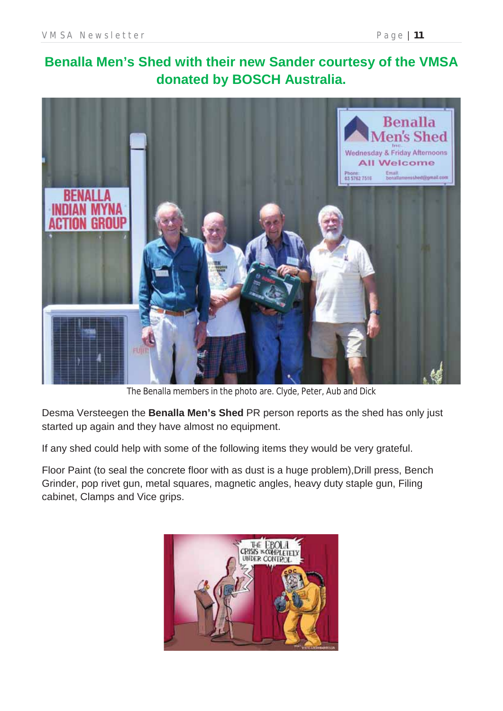## **Benalla Men's Shed with their new Sander courtesy of the VMSA donated by BOSCH Australia.**



The Benalla members in the photo are. Clyde, Peter, Aub and Dick

Desma Versteegen the **Benalla Men's Shed** PR person reports as the shed has only just started up again and they have almost no equipment.

If any shed could help with some of the following items they would be very grateful.

Floor Paint (to seal the concrete floor with as dust is a huge problem), Drill press, Bench Grinder, pop rivet gun, metal squares, magnetic angles, heavy duty staple gun, Filing cabinet, Clamps and Vice grips.

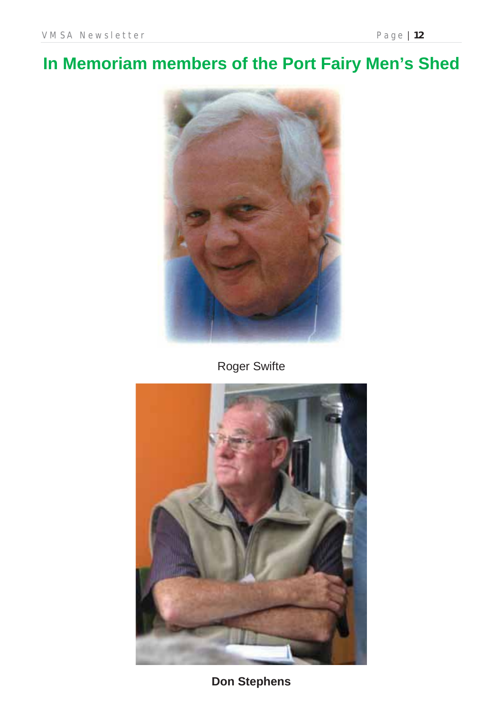# **In Memoriam members of the Port Fairy Men's Shed**



Roger Swifte



**Don Stephens**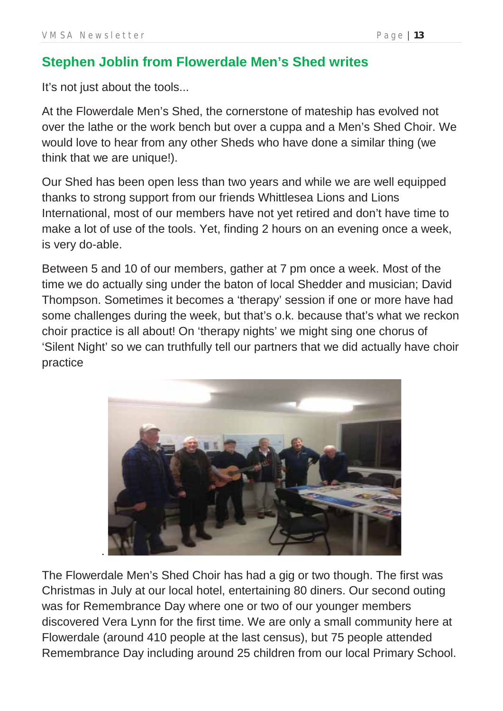### **Stephen Joblin from Flowerdale Men's Shed writes**

It's not just about the tools...

At the Flowerdale Men's Shed, the cornerstone of mateship has evolved not over the lathe or the work bench but over a cuppa and a Men's Shed Choir. We would love to hear from any other Sheds who have done a similar thing (we think that we are unique!).

Our Shed has been open less than two years and while we are well equipped thanks to strong support from our friends Whittlesea Lions and Lions International, most of our members have not yet retired and don't have time to make a lot of use of the tools. Yet, finding 2 hours on an evening once a week, is very do-able.

Between 5 and 10 of our members, gather at 7 pm once a week. Most of the time we do actually sing under the baton of local Shedder and musician; David Thompson. Sometimes it becomes a 'therapy' session if one or more have had some challenges during the week, but that's o.k. because that's what we reckon choir practice is all about! On 'therapy nights' we might sing one chorus of 'Silent Night' so we can truthfully tell our partners that we did actually have choir practice



The Flowerdale Men's Shed Choir has had a gig or two though. The first was Christmas in July at our local hotel, entertaining 80 diners. Our second outing was for Remembrance Day where one or two of our younger members discovered Vera Lynn for the first time. We are only a small community here at Flowerdale (around 410 people at the last census), but 75 people attended Remembrance Day including around 25 children from our local Primary School.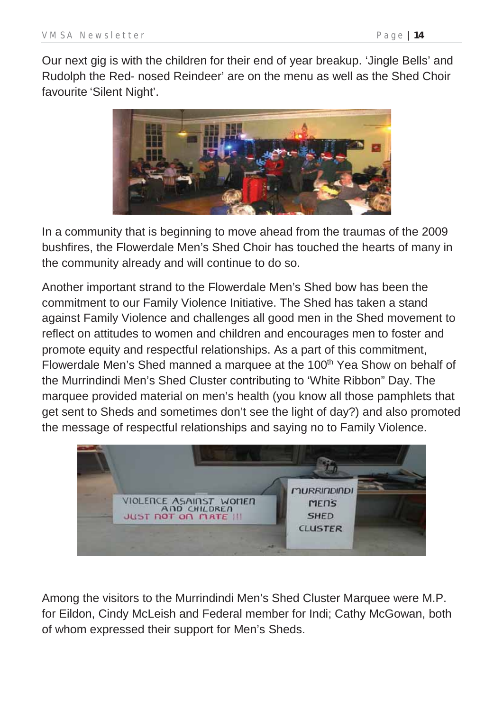Our next gig is with the children for their end of year breakup. 'Jingle Bells' and Rudolph the Red- nosed Reindeer' are on the menu as well as the Shed Choir favourite 'Silent Night'.



In a community that is beginning to move ahead from the traumas of the 2009 bushfires, the Flowerdale Men's Shed Choir has touched the hearts of many in the community already and will continue to do so.

Another important strand to the Flowerdale Men's Shed bow has been the commitment to our Family Violence Initiative. The Shed has taken a stand against Family Violence and challenges all good men in the Shed movement to reflect on attitudes to women and children and encourages men to foster and promote equity and respectful relationships. As a part of this commitment, Flowerdale Men's Shed manned a marquee at the 100<sup>th</sup> Yea Show on behalf of the Murrindindi Men's Shed Cluster contributing to 'White Ribbon" Day. The marquee provided material on men's health (you know all those pamphlets that get sent to Sheds and sometimes don't see the light of day?) and also promoted the message of respectful relationships and saying no to Family Violence.



Among the visitors to the Murrindindi Men's Shed Cluster Marquee were M.P. for Eildon, Cindy McLeish and Federal member for Indi; Cathy McGowan, both of whom expressed their support for Men's Sheds.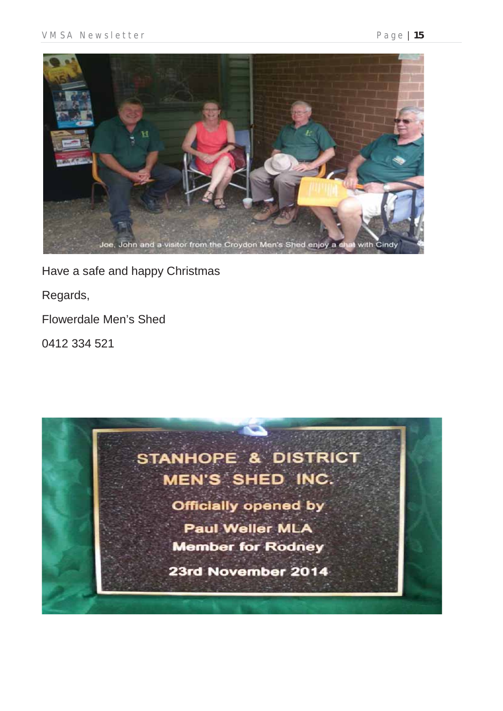

Have a safe and happy Christmas

Regards,

Flowerdale Men's Shed

0412 334 521

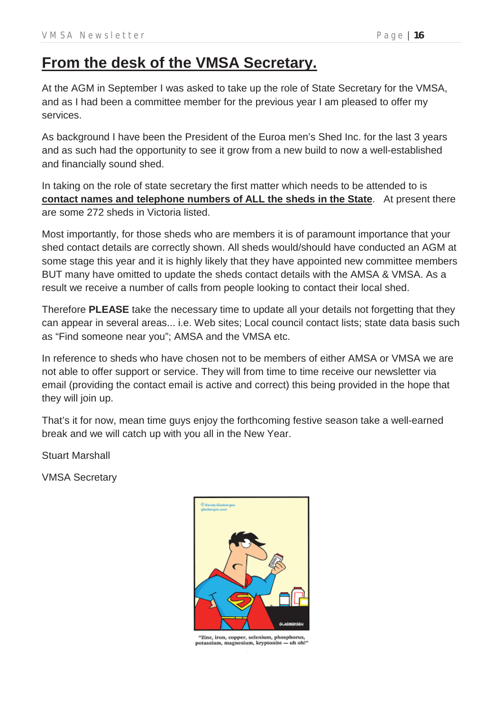# **From the desk of the VMSA Secretary.**

At the AGM in September I was asked to take up the role of State Secretary for the VMSA, and as I had been a committee member for the previous year I am pleased to offer my services.

As background I have been the President of the Euroa men's Shed Inc. for the last 3 years and as such had the opportunity to see it grow from a new build to now a well-established and financially sound shed.

In taking on the role of state secretary the first matter which needs to be attended to is **contact names and telephone numbers of ALL the sheds in the State**. At present there are some 272 sheds in Victoria listed.

Most importantly, for those sheds who are members it is of paramount importance that your shed contact details are correctly shown. All sheds would/should have conducted an AGM at some stage this year and it is highly likely that they have appointed new committee members BUT many have omitted to update the sheds contact details with the AMSA & VMSA. As a result we receive a number of calls from people looking to contact their local shed.

Therefore **PLEASE** take the necessary time to update all your details not forgetting that they can appear in several areas... i.e. Web sites; Local council contact lists; state data basis such as "Find someone near you"; AMSA and the VMSA etc.

In reference to sheds who have chosen not to be members of either AMSA or VMSA we are not able to offer support or service. They will from time to time receive our newsletter via email (providing the contact email is active and correct) this being provided in the hope that they will join up.

That's it for now, mean time guys enjoy the forthcoming festive season take a well-earned break and we will catch up with you all in the New Year.

Stuart Marshall

VMSA Secretary



"Zinc, iron, copper, selenium, phosphorus,<br>potassium, magnesium, kryptonite -- uh oh!"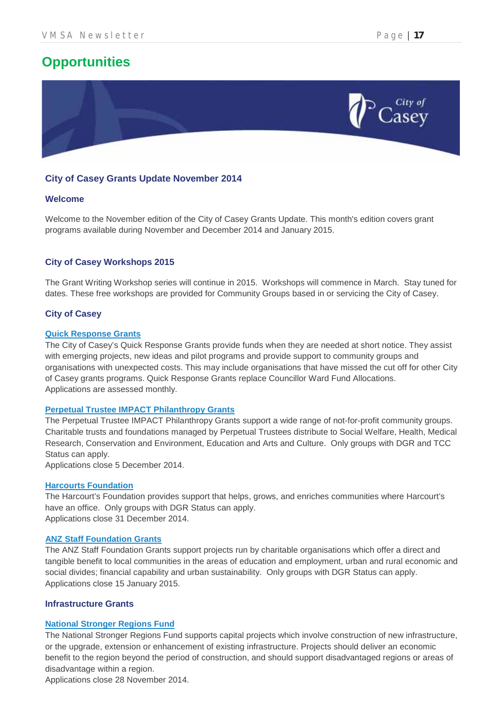## **Opportunities**



#### **City of Casey Grants Update November 2014**

#### **Welcome**

Welcome to the November edition of the City of Casey Grants Update. This month's edition covers grant programs available during November and December 2014 and January 2015.

#### **City of Casey Workshops 2015**

The Grant Writing Workshop series will continue in 2015. Workshops will commence in March. Stay tuned for dates. These free workshops are provided for Community Groups based in or servicing the City of Casey.

#### **City of Casey**

#### **Quick Response Grants**

The City of Casey's Quick Response Grants provide funds when they are needed at short notice. They assist with emerging projects, new ideas and pilot programs and provide support to community groups and organisations with unexpected costs. This may include organisations that have missed the cut off for other City of Casey grants programs. Quick Response Grants replace Councillor Ward Fund Allocations. Applications are assessed monthly.

#### **Perpetual Trustee IMPACT Philanthropy Grants**

 Charitable trusts and foundations managed by Perpetual Trustees distribute to Social Welfare, Health, Medical The Perpetual Trustee IMPACT Philanthropy Grants support a wide range of not-for-profit community groups. Research, Conservation and Environment, Education and Arts and Culture. Only groups with DGR and TCC Status can apply.

Applications close 5 December 2014.

#### **Harcourts Foundation**

The Harcourt's Foundation provides support that helps, grows, and enriches communities where Harcourt's have an office. Only groups with DGR Status can apply. Applications close 31 December 2014.

#### **ANZ Staff Foundation Grants**

The ANZ Staff Foundation Grants support projects run by charitable organisations which offer a direct and tangible benefit to local communities in the areas of education and employment, urban and rural economic and social divides; financial capability and urban sustainability. Only groups with DGR Status can apply. Applications close 15 January 2015.

#### **Infrastructure Grants**

#### **National Stronger Regions Fund**

The National Stronger Regions Fund supports capital projects which involve construction of new infrastructure, or the upgrade, extension or enhancement of existing infrastructure. Projects should deliver an economic benefit to the region beyond the period of construction, and should support disadvantaged regions or areas of disadvantage within a region.

Applications close 28 November 2014.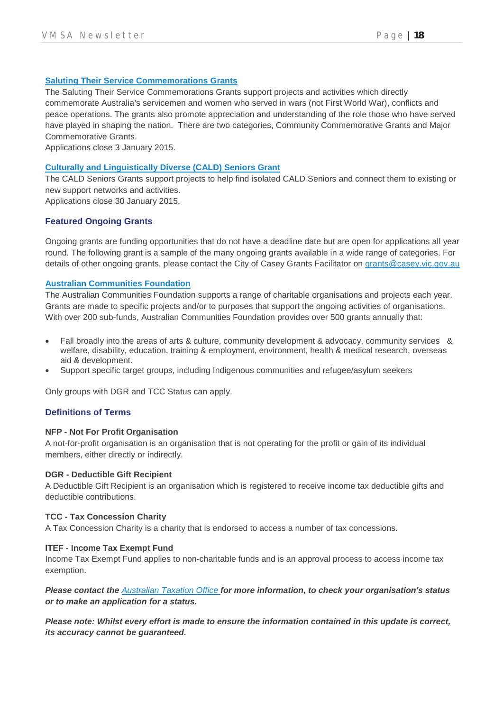#### **Saluting Their Service Commemorations Grants**

The Saluting Their Service Commemorations Grants support projects and activities which directly commemorate Australia's servicemen and women who served in wars (not First World War), conflicts and peace operations. The grants also promote appreciation and understanding of the role those who have served have played in shaping the nation. There are two categories, Community Commemorative Grants and Major Commemorative Grants.

Applications close 3 January 2015.

#### **Culturally and Linguistically Diverse (CALD) Seniors Grant**

The CALD Seniors Grants support projects to help find isolated CALD Seniors and connect them to existing or new support networks and activities.

Applications close 30 January 2015.

#### **Featured Ongoing Grants**

Ongoing grants are funding opportunities that do not have a deadline date but are open for applications all year round. The following grant is a sample of the many ongoing grants available in a wide range of categories. For details of other ongoing grants, please contact the City of Casey Grants Facilitator on grants@casey.vic.gov.au

#### **Australian Communities Foundation**

The Australian Communities Foundation supports a range of charitable organisations and projects each year. Grants are made to specific projects and/or to purposes that support the ongoing activities of organisations. With over 200 sub-funds, Australian Communities Foundation provides over 500 grants annually that:

- Fall broadly into the areas of arts & culture, community development & advocacy, community services & welfare, disability, education, training & employment, environment, health & medical research, overseas aid & development.
- Support specific target groups, including Indigenous communities and refugee/asylum seekers

Only groups with DGR and TCC Status can apply.

#### **Definitions of Terms**

#### **NFP - Not For Profit Organisation**

A not-for-profit organisation is an organisation that is not operating for the profit or gain of its individual members, either directly or indirectly.

#### **DGR - Deductible Gift Recipient**

A Deductible Gift Recipient is an organisation which is registered to receive income tax deductible gifts and deductible contributions.

#### **TCC - Tax Concession Charity**

A Tax Concession Charity is a charity that is endorsed to access a number of tax concessions.

#### **ITEF - Income Tax Exempt Fund**

Income Tax Exempt Fund applies to non-charitable funds and is an approval process to access income tax exemption.

#### *Please contact the Australian Taxation Office for more information, to check your organisation's status or to make an application for a status.*

*Please note: Whilst every effort is made to ensure the information contained in this update is correct, its accuracy cannot be guaranteed.*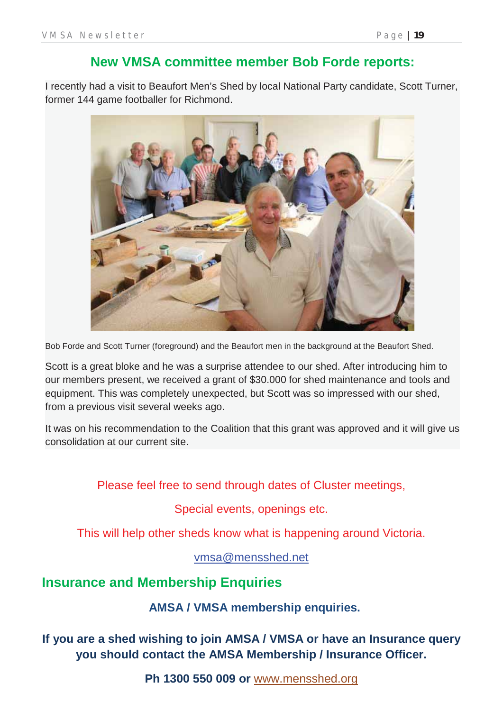### **New VMSA committee member Bob Forde reports:**

I recently had a visit to Beaufort Men's Shed by local National Party candidate, Scott Turner, former 144 game footballer for Richmond.



Bob Forde and Scott Turner (foreground) and the Beaufort men in the background at the Beaufort Shed.

Scott is a great bloke and he was a surprise attendee to our shed. After introducing him to our members present, we received a grant of \$30.000 for shed maintenance and tools and equipment. This was completely unexpected, but Scott was so impressed with our shed, from a previous visit several weeks ago.

It was on his recommendation to the Coalition that this grant was approved and it will give us consolidation at our current site.

Please feel free to send through dates of Cluster meetings,

Special events, openings etc.

This will help other sheds know what is happening around Victoria.

vmsa@mensshed.net

### **Insurance and Membership Enquiries**

**AMSA / VMSA membership enquiries.**

**If you are a shed wishing to join AMSA / VMSA or have an Insurance query you should contact the AMSA Membership / Insurance Officer.**

**Ph 1300 550 009 or** www.mensshed.org